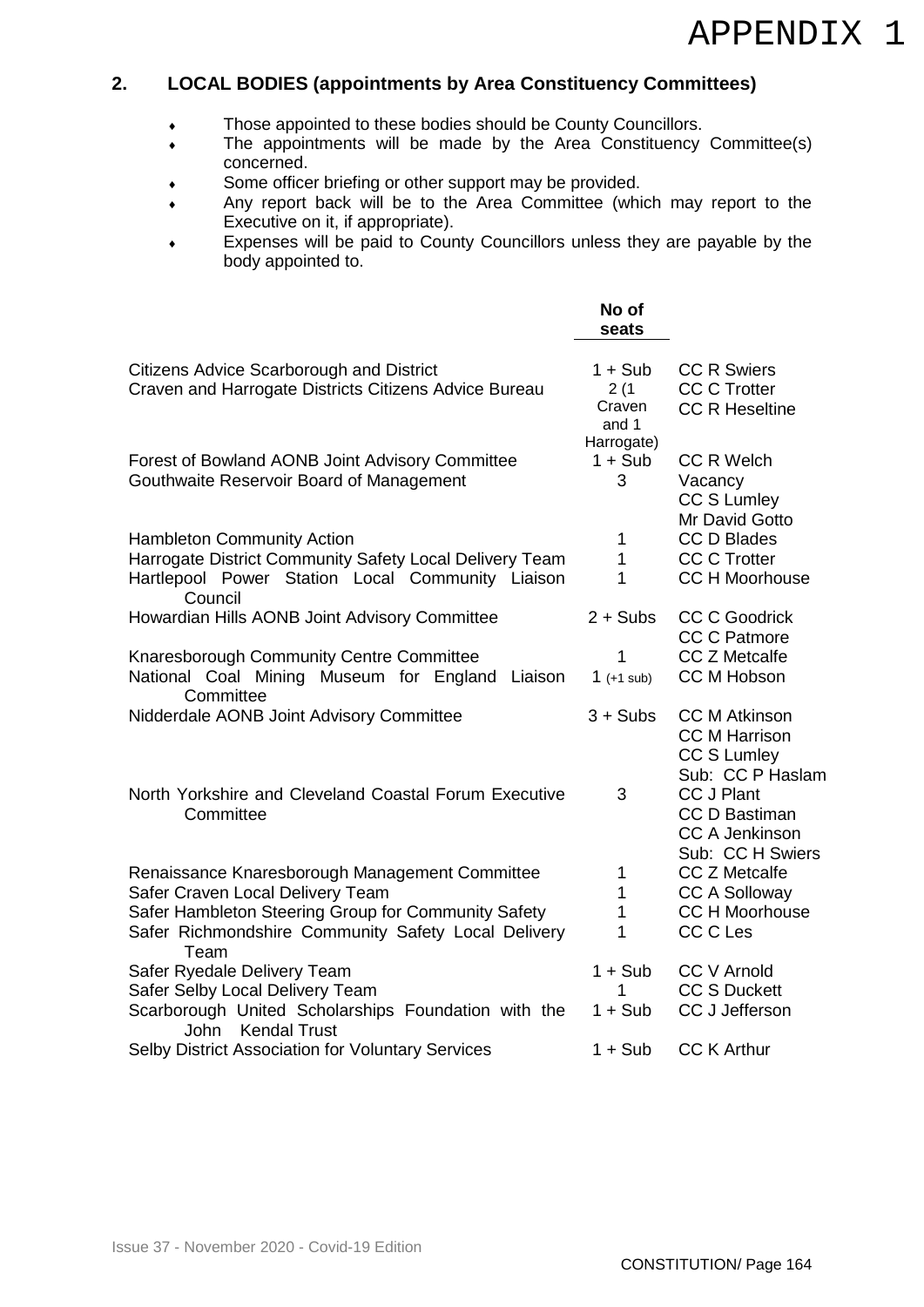## APPENDIX 1

## **2. LOCAL BODIES (appointments by Area Constituency Committees)**

- Those appointed to these bodies should be County Councillors.
- The appointments will be made by the Area Constituency Committee(s) concerned.
- Some officer briefing or other support may be provided.
- Any report back will be to the Area Committee (which may report to the Executive on it, if appropriate).
- Expenses will be paid to County Councillors unless they are payable by the body appointed to.

|                                                                                                                                                             | No of<br>seats                       |                                                                                        |
|-------------------------------------------------------------------------------------------------------------------------------------------------------------|--------------------------------------|----------------------------------------------------------------------------------------|
| Citizens Advice Scarborough and District<br>Craven and Harrogate Districts Citizens Advice Bureau                                                           | $1 + Sub$<br>2(1)<br>Craven<br>and 1 | <b>CC R Swiers</b><br><b>CC C Trotter</b><br><b>CC R Heseltine</b>                     |
| Forest of Bowland AONB Joint Advisory Committee<br>Gouthwaite Reservoir Board of Management                                                                 | Harrogate)<br>$1 + Sub$<br>3         | <b>CC R Welch</b><br>Vacancy<br>CC S Lumley<br>Mr David Gotto                          |
| <b>Hambleton Community Action</b><br>Harrogate District Community Safety Local Delivery Team<br>Hartlepool Power Station Local Community Liaison<br>Council | 1<br>$\mathbf{1}$<br>1               | <b>CC D Blades</b><br><b>CC C Trotter</b><br><b>CC H Moorhouse</b>                     |
| Howardian Hills AONB Joint Advisory Committee                                                                                                               | $2 + Subs$                           | <b>CC C Goodrick</b><br><b>CC C Patmore</b>                                            |
| Knaresborough Community Centre Committee<br>National Coal Mining Museum for England Liaison<br>Committee                                                    | 1<br>1 $(+1 \text{ sub})$            | <b>CC Z Metcalfe</b><br>CC M Hobson                                                    |
| Nidderdale AONB Joint Advisory Committee                                                                                                                    | $3 + Subs$                           | <b>CC M Atkinson</b><br><b>CC M Harrison</b><br><b>CC S Lumley</b><br>Sub: CC P Haslam |
| North Yorkshire and Cleveland Coastal Forum Executive<br>Committee                                                                                          | 3                                    | <b>CC J Plant</b><br><b>CC D Bastiman</b><br><b>CC A Jenkinson</b><br>Sub: CC H Swiers |
| Renaissance Knaresborough Management Committee                                                                                                              | 1                                    | <b>CC Z Metcalfe</b>                                                                   |
| Safer Craven Local Delivery Team                                                                                                                            | $\mathbf{1}$                         | <b>CC A Solloway</b>                                                                   |
| Safer Hambleton Steering Group for Community Safety                                                                                                         | $\mathbf{1}$                         | <b>CC H Moorhouse</b>                                                                  |
| Safer Richmondshire Community Safety Local Delivery<br>Team                                                                                                 | 1                                    | CC C Les                                                                               |
| Safer Ryedale Delivery Team                                                                                                                                 | $1 + Sub$                            | <b>CC V Arnold</b>                                                                     |
| Safer Selby Local Delivery Team                                                                                                                             | 1                                    | <b>CC S Duckett</b>                                                                    |
| Scarborough United Scholarships Foundation with the<br><b>Kendal Trust</b><br><b>John</b>                                                                   | $1 + Sub$                            | CC J Jefferson                                                                         |
| Selby District Association for Voluntary Services                                                                                                           | $1 + Sub$                            | <b>CC K Arthur</b>                                                                     |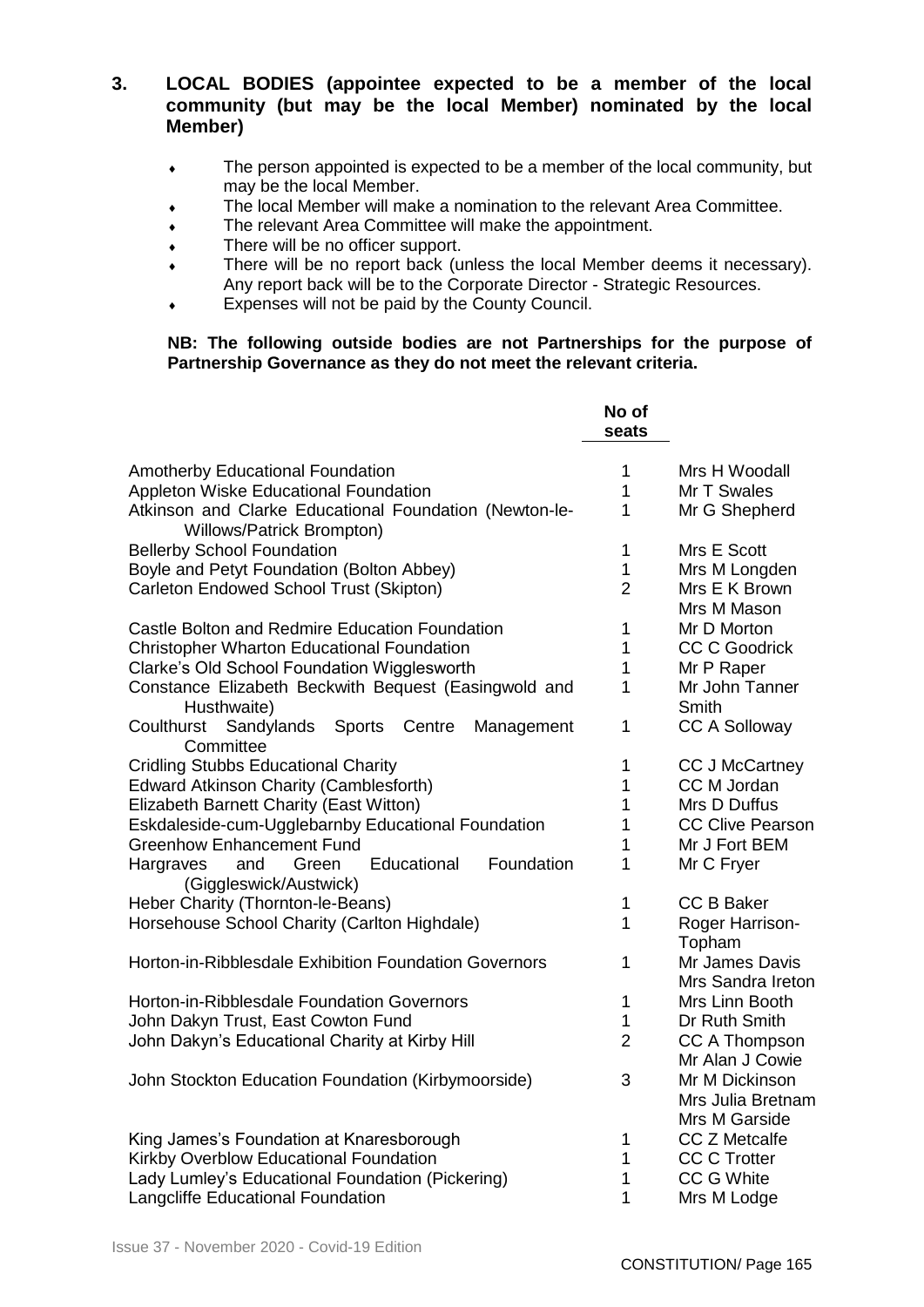## **3. LOCAL BODIES (appointee expected to be a member of the local community (but may be the local Member) nominated by the local Member)**

- The person appointed is expected to be a member of the local community, but may be the local Member.
- The local Member will make a nomination to the relevant Area Committee.
- The relevant Area Committee will make the appointment.
- There will be no officer support.
- There will be no report back (unless the local Member deems it necessary). Any report back will be to the Corporate Director - Strategic Resources.
- Expenses will not be paid by the County Council.

## **NB: The following outside bodies are not Partnerships for the purpose of Partnership Governance as they do not meet the relevant criteria.**

|                                                                                     | No of<br>seats |                                     |
|-------------------------------------------------------------------------------------|----------------|-------------------------------------|
| <b>Amotherby Educational Foundation</b>                                             | 1              | Mrs H Woodall                       |
| Appleton Wiske Educational Foundation                                               | 1              | Mr T Swales                         |
| Atkinson and Clarke Educational Foundation (Newton-le-<br>Willows/Patrick Brompton) | $\mathbf{1}$   | Mr G Shepherd                       |
| <b>Bellerby School Foundation</b>                                                   | 1              | Mrs E Scott                         |
| Boyle and Petyt Foundation (Bolton Abbey)                                           | 1              | Mrs M Longden                       |
| Carleton Endowed School Trust (Skipton)                                             | 2              | Mrs E K Brown<br>Mrs M Mason        |
| Castle Bolton and Redmire Education Foundation                                      | 1              | Mr D Morton                         |
| <b>Christopher Wharton Educational Foundation</b>                                   | 1              | <b>CC C Goodrick</b>                |
| Clarke's Old School Foundation Wigglesworth                                         | 1              | Mr P Raper                          |
| Constance Elizabeth Beckwith Bequest (Easingwold and<br>Husthwaite)                 | 1              | Mr John Tanner<br>Smith             |
| Coulthurst<br>Sandylands<br><b>Sports</b><br>Centre<br>Management<br>Committee      | 1              | <b>CC A Solloway</b>                |
| <b>Cridling Stubbs Educational Charity</b>                                          | 1              | <b>CC J McCartney</b>               |
| <b>Edward Atkinson Charity (Camblesforth)</b>                                       | 1              | CC M Jordan                         |
| Elizabeth Barnett Charity (East Witton)                                             | 1              | Mrs D Duffus                        |
| Eskdaleside-cum-Ugglebarnby Educational Foundation                                  | 1              | <b>CC Clive Pearson</b>             |
| <b>Greenhow Enhancement Fund</b>                                                    | 1              | Mr J Fort BEM                       |
| Educational<br>Foundation<br>Hargraves<br>and<br>Green<br>(Giggleswick/Austwick)    | 1              | Mr C Fryer                          |
| Heber Charity (Thornton-le-Beans)                                                   | 1              | <b>CC B Baker</b>                   |
| Horsehouse School Charity (Carlton Highdale)                                        | 1              | Roger Harrison-<br>Topham           |
| Horton-in-Ribblesdale Exhibition Foundation Governors                               | 1              | Mr James Davis<br>Mrs Sandra Ireton |
| Horton-in-Ribblesdale Foundation Governors                                          | $\mathbf{1}$   | Mrs Linn Booth                      |
| John Dakyn Trust, East Cowton Fund                                                  | 1              | Dr Ruth Smith                       |
| John Dakyn's Educational Charity at Kirby Hill                                      | $\overline{2}$ | CC A Thompson                       |
|                                                                                     |                | Mr Alan J Cowie                     |
| John Stockton Education Foundation (Kirbymoorside)                                  | 3              | Mr M Dickinson<br>Mrs Julia Bretnam |
|                                                                                     |                | Mrs M Garside                       |
| King James's Foundation at Knaresborough                                            | 1              | <b>CC Z Metcalfe</b>                |
| Kirkby Overblow Educational Foundation                                              | 1<br>1         | <b>CC C Trotter</b>                 |
| Lady Lumley's Educational Foundation (Pickering)                                    |                | CC G White                          |
| Langcliffe Educational Foundation                                                   |                | Mrs M Lodge                         |